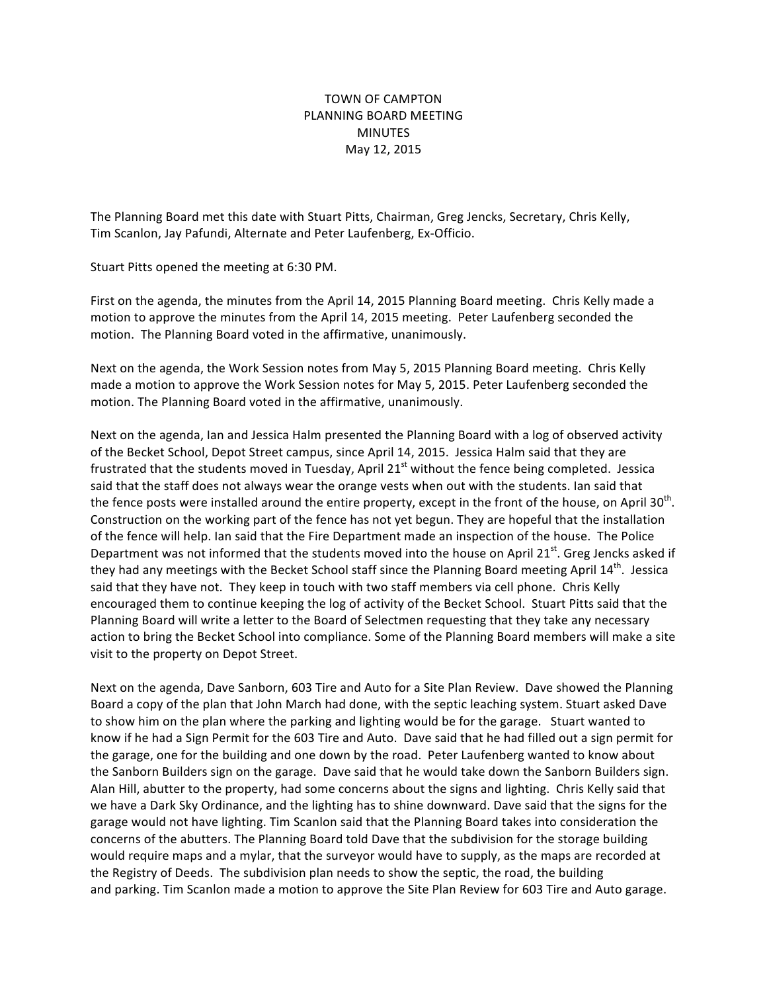## TOWN OF CAMPTON PLANNING BOARD MEETING MINUTES May 12, 2015

The Planning Board met this date with Stuart Pitts, Chairman, Greg Jencks, Secretary, Chris Kelly, Tim Scanlon, Jay Pafundi, Alternate and Peter Laufenberg, Ex-Officio.

Stuart Pitts opened the meeting at 6:30 PM.

First on the agenda, the minutes from the April 14, 2015 Planning Board meeting. Chris Kelly made a motion to approve the minutes from the April 14, 2015 meeting. Peter Laufenberg seconded the motion. The Planning Board voted in the affirmative, unanimously.

Next on the agenda, the Work Session notes from May 5, 2015 Planning Board meeting. Chris Kelly made a motion to approve the Work Session notes for May 5, 2015. Peter Laufenberg seconded the motion. The Planning Board voted in the affirmative, unanimously.

Next on the agenda, Ian and Jessica Halm presented the Planning Board with a log of observed activity of the Becket School, Depot Street campus, since April 14, 2015. Jessica Halm said that they are frustrated that the students moved in Tuesday, April 21<sup>st</sup> without the fence being completed. Jessica said that the staff does not always wear the orange vests when out with the students. Ian said that the fence posts were installed around the entire property, except in the front of the house, on April 30<sup>th</sup>. Construction on the working part of the fence has not yet begun. They are hopeful that the installation of the fence will help. Ian said that the Fire Department made an inspection of the house. The Police Department was not informed that the students moved into the house on April 21st. Greg Jencks asked if they had any meetings with the Becket School staff since the Planning Board meeting April 14<sup>th</sup>. Jessica said that they have not. They keep in touch with two staff members via cell phone. Chris Kelly encouraged them to continue keeping the log of activity of the Becket School. Stuart Pitts said that the Planning Board will write a letter to the Board of Selectmen requesting that they take any necessary action to bring the Becket School into compliance. Some of the Planning Board members will make a site visit to the property on Depot Street.

Next on the agenda, Dave Sanborn, 603 Tire and Auto for a Site Plan Review. Dave showed the Planning Board a copy of the plan that John March had done, with the septic leaching system. Stuart asked Dave to show him on the plan where the parking and lighting would be for the garage. Stuart wanted to know if he had a Sign Permit for the 603 Tire and Auto. Dave said that he had filled out a sign permit for the garage, one for the building and one down by the road. Peter Laufenberg wanted to know about the Sanborn Builders sign on the garage. Dave said that he would take down the Sanborn Builders sign. Alan Hill, abutter to the property, had some concerns about the signs and lighting. Chris Kelly said that we have a Dark Sky Ordinance, and the lighting has to shine downward. Dave said that the signs for the garage would not have lighting. Tim Scanlon said that the Planning Board takes into consideration the concerns of the abutters. The Planning Board told Dave that the subdivision for the storage building would require maps and a mylar, that the surveyor would have to supply, as the maps are recorded at the Registry of Deeds. The subdivision plan needs to show the septic, the road, the building and parking. Tim Scanlon made a motion to approve the Site Plan Review for 603 Tire and Auto garage.